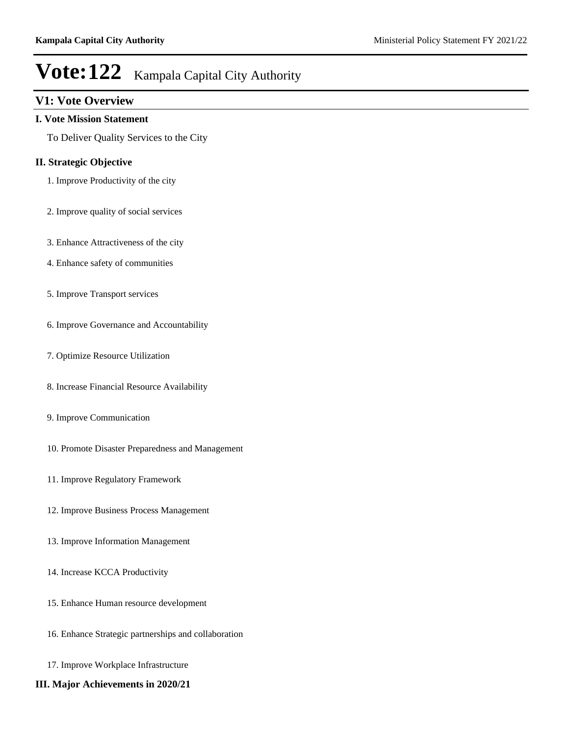# **V1: Vote Overview**

### **I. Vote Mission Statement**

To Deliver Quality Services to the City

# **II. Strategic Objective**

- 1. Improve Productivity of the city
- 2. Improve quality of social services
- 3. Enhance Attractiveness of the city
- 4. Enhance safety of communities
- 5. Improve Transport services
- 6. Improve Governance and Accountability
- 7. Optimize Resource Utilization
- 8. Increase Financial Resource Availability
- 9. Improve Communication
- 10. Promote Disaster Preparedness and Management
- 11. Improve Regulatory Framework
- 12. Improve Business Process Management
- 13. Improve Information Management
- 14. Increase KCCA Productivity
- 15. Enhance Human resource development
- 16. Enhance Strategic partnerships and collaboration
- 17. Improve Workplace Infrastructure
- **III. Major Achievements in 2020/21**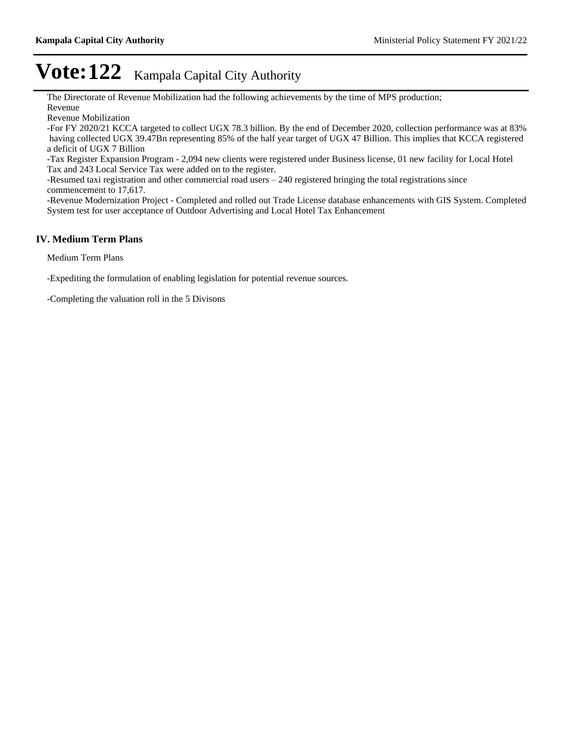The Directorate of Revenue Mobilization had the following achievements by the time of MPS production; Revenue

Revenue Mobilization

-For FY 2020/21 KCCA targeted to collect UGX 78.3 billion. By the end of December 2020, collection performance was at 83% having collected UGX 39.47Bn representing 85% of the half year target of UGX 47 Billion. This implies that KCCA registered a deficit of UGX 7 Billion

-Tax Register Expansion Program - 2,094 new clients were registered under Business license, 01 new facility for Local Hotel Tax and 243 Local Service Tax were added on to the register.

-Resumed taxi registration and other commercial road users  $-240$  registered bringing the total registrations since commencement to 17,617.

-Revenue Modernization Project - Completed and rolled out Trade License database enhancements with GIS System. Completed System test for user acceptance of Outdoor Advertising and Local Hotel Tax Enhancement

# **IV. Medium Term Plans**

Medium Term Plans

-Expediting the formulation of enabling legislation for potential revenue sources.

-Completing the valuation roll in the 5 Divisons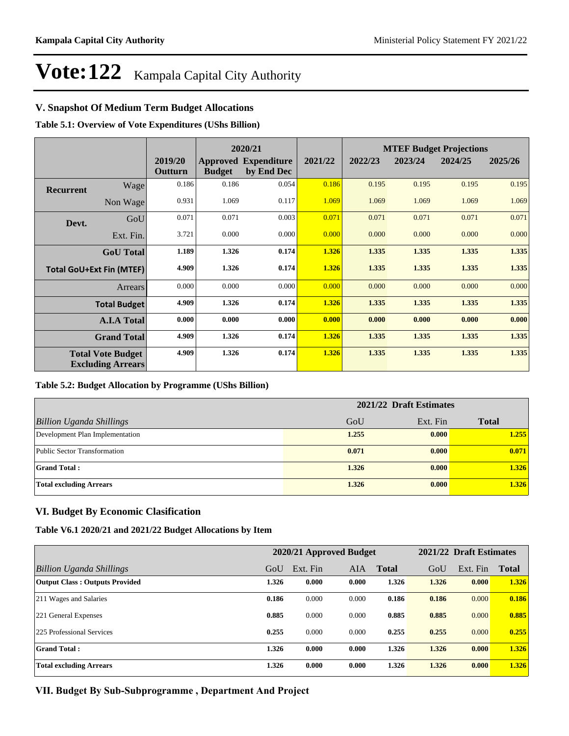# **V. Snapshot Of Medium Term Budget Allocations**

**Table 5.1: Overview of Vote Expenditures (UShs Billion)**

|                                 |                                                      |                    | 2020/21       |                                           |         | <b>MTEF Budget Projections</b> |         |         |         |  |
|---------------------------------|------------------------------------------------------|--------------------|---------------|-------------------------------------------|---------|--------------------------------|---------|---------|---------|--|
|                                 |                                                      | 2019/20<br>Outturn | <b>Budget</b> | <b>Approved Expenditure</b><br>by End Dec | 2021/22 | 2022/23                        | 2023/24 | 2024/25 | 2025/26 |  |
| <b>Recurrent</b>                | Wage                                                 | 0.186              | 0.186         | 0.054                                     | 0.186   | 0.195                          | 0.195   | 0.195   | 0.195   |  |
|                                 | Non Wage                                             | 0.931              | 1.069         | 0.117                                     | 1.069   | 1.069                          | 1.069   | 1.069   | 1.069   |  |
| Devt.                           | GoU                                                  | 0.071              | 0.071         | 0.003                                     | 0.071   | 0.071                          | 0.071   | 0.071   | 0.071   |  |
|                                 | Ext. Fin.                                            | 3.721              | 0.000         | 0.000                                     | 0.000   | 0.000                          | 0.000   | 0.000   | 0.000   |  |
|                                 | <b>GoU</b> Total                                     | 1.189              | 1.326         | 0.174                                     | 1.326   | 1.335                          | 1.335   | 1.335   | 1.335   |  |
| <b>Total GoU+Ext Fin (MTEF)</b> |                                                      | 4.909              | 1.326         | 0.174                                     | 1.326   | 1.335                          | 1.335   | 1.335   | 1.335   |  |
| <b>Arrears</b>                  |                                                      | 0.000              | 0.000         | 0.000                                     | 0.000   | 0.000                          | 0.000   | 0.000   | 0.000   |  |
| <b>Total Budget</b>             |                                                      | 4.909              | 1.326         | 0.174                                     | 1.326   | 1.335                          | 1.335   | 1.335   | 1.335   |  |
|                                 | <b>A.I.A Total</b>                                   | 0.000              | 0.000         | 0.000                                     | 0.000   | 0.000                          | 0.000   | 0.000   | 0.000   |  |
|                                 | <b>Grand Total</b>                                   | 4.909              | 1.326         | 0.174                                     | 1.326   | 1.335                          | 1.335   | 1.335   | 1.335   |  |
|                                 | <b>Total Vote Budget</b><br><b>Excluding Arrears</b> | 4.909              | 1.326         | 0.174                                     | 1.326   | 1.335                          | 1.335   | 1.335   | 1.335   |  |

#### **Table 5.2: Budget Allocation by Programme (UShs Billion)**

|                                 | 2021/22 Draft Estimates |          |              |  |
|---------------------------------|-------------------------|----------|--------------|--|
| <b>Billion Uganda Shillings</b> | GoU                     | Ext. Fin | <b>Total</b> |  |
| Development Plan Implementation | 1.255                   | 0.000    | 1.255        |  |
| Public Sector Transformation    | 0.071                   | 0.000    | 0.071        |  |
| <b>Grand Total:</b>             | 1.326                   | 0.000    | 1.326        |  |
| <b>Total excluding Arrears</b>  | 1.326                   | 0.000    | 1.326        |  |

# **VI. Budget By Economic Clasification**

#### **Table V6.1 2020/21 and 2021/22 Budget Allocations by Item**

|                                       | 2020/21 Approved Budget |          |       | 2021/22 Draft Estimates |       |          |              |
|---------------------------------------|-------------------------|----------|-------|-------------------------|-------|----------|--------------|
| Billion Uganda Shillings              | GoU                     | Ext. Fin | AIA   | <b>Total</b>            | GoU   | Ext. Fin | <b>Total</b> |
| <b>Output Class: Outputs Provided</b> | 1.326                   | 0.000    | 0.000 | 1.326                   | 1.326 | 0.000    | 1.326        |
| 211 Wages and Salaries                | 0.186                   | 0.000    | 0.000 | 0.186                   | 0.186 | 0.000    | 0.186        |
| 221 General Expenses                  | 0.885                   | 0.000    | 0.000 | 0.885                   | 0.885 | 0.000    | 0.885        |
| 225 Professional Services             | 0.255                   | 0.000    | 0.000 | 0.255                   | 0.255 | 0.000    | 0.255        |
| <b>Grand Total:</b>                   | 1.326                   | 0.000    | 0.000 | 1.326                   | 1.326 | 0.000    | 1.326        |
| <b>Total excluding Arrears</b>        | 1.326                   | 0.000    | 0.000 | 1.326                   | 1.326 | 0.000    | 1.326        |

VII. Budget By Sub-Subprogramme, Department And Project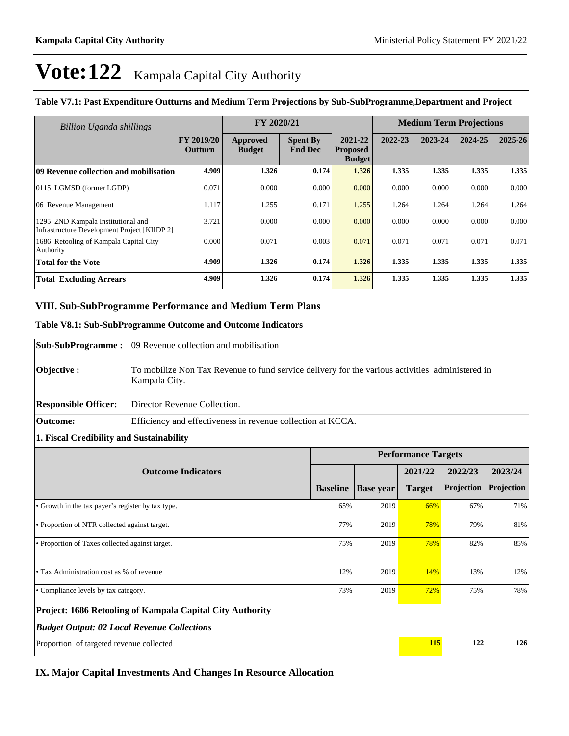| <b>Billion Uganda shillings</b>                                                           |                                     | FY 2020/21                |                                   |                                             |         | <b>Medium Term Projections</b> |         |             |
|-------------------------------------------------------------------------------------------|-------------------------------------|---------------------------|-----------------------------------|---------------------------------------------|---------|--------------------------------|---------|-------------|
|                                                                                           | <b>FY 2019/20</b><br><b>Outturn</b> | Approved<br><b>Budget</b> | <b>Spent By</b><br><b>End Dec</b> | 2021-22<br><b>Proposed</b><br><b>Budget</b> | 2022-23 | 2023-24                        | 2024-25 | $2025 - 26$ |
| 09 Revenue collection and mobilisation                                                    | 4.909                               | 1.326                     | 0.174                             | 1.326                                       | 1.335   | 1.335                          | 1.335   | 1.335       |
| 0115 LGMSD (former LGDP)                                                                  | 0.071                               | 0.000                     | 0.000                             | 0.000                                       | 0.000   | 0.000                          | 0.000   | 0.000       |
| 06 Revenue Management                                                                     | 1.117                               | 1.255                     | 0.171                             | 1.255                                       | 1.264   | 1.264                          | 1.264   | 1.264       |
| 1295 2ND Kampala Institutional and<br><b>Infrastructure Development Project [KIIDP 2]</b> | 3.721                               | 0.000                     | 0.000                             | 0.000                                       | 0.000   | 0.000                          | 0.000   | 0.000       |
| 1686 Retooling of Kampala Capital City<br>Authority                                       | 0.000                               | 0.071                     | 0.003                             | 0.071                                       | 0.071   | 0.071                          | 0.071   | 0.071       |
| <b>Total for the Vote</b>                                                                 | 4.909                               | 1.326                     | 0.174                             | 1.326                                       | 1.335   | 1.335                          | 1.335   | 1.335       |
| <b>Total Excluding Arrears</b>                                                            | 4.909                               | 1.326                     | 0.174                             | 1.326                                       | 1.335   | 1.335                          | 1.335   | 1.335       |

#### **Table V7.1: Past Expenditure Outturns and Medium Term Projections by Sub-SubProgramme,Department and Project**

# VIII. Sub-SubProgramme Performance and Medium Term Plans

#### **Table V8.1: Sub-SubProgramme Outcome and Outcome Indicators**

|                                                           | <b>Sub-SubProgramme:</b> 09 Revenue collection and mobilisation                                                  |                 |                  |               |                            |            |  |  |  |  |  |
|-----------------------------------------------------------|------------------------------------------------------------------------------------------------------------------|-----------------|------------------|---------------|----------------------------|------------|--|--|--|--|--|
| Objective:                                                | To mobilize Non Tax Revenue to fund service delivery for the various activities administered in<br>Kampala City. |                 |                  |               |                            |            |  |  |  |  |  |
| <b>Responsible Officer:</b>                               | Director Revenue Collection.                                                                                     |                 |                  |               |                            |            |  |  |  |  |  |
| <b>Outcome:</b>                                           | Efficiency and effectiveness in revenue collection at KCCA.                                                      |                 |                  |               |                            |            |  |  |  |  |  |
| 1. Fiscal Credibility and Sustainability                  |                                                                                                                  |                 |                  |               |                            |            |  |  |  |  |  |
|                                                           |                                                                                                                  |                 |                  |               | <b>Performance Targets</b> |            |  |  |  |  |  |
|                                                           | <b>Outcome Indicators</b>                                                                                        |                 |                  | 2021/22       | 2022/23                    | 2023/24    |  |  |  |  |  |
|                                                           |                                                                                                                  | <b>Baseline</b> | <b>Base year</b> | <b>Target</b> | Projection                 | Projection |  |  |  |  |  |
| • Growth in the tax payer's register by tax type.         |                                                                                                                  | 65%             | 2019             | 66%           | 67%                        | 71%        |  |  |  |  |  |
| • Proportion of NTR collected against target.             |                                                                                                                  |                 | 2019             | 78%           | 79%                        | 81%        |  |  |  |  |  |
| • Proportion of Taxes collected against target.           |                                                                                                                  |                 | 2019             | 78%           | 82%                        | 85%        |  |  |  |  |  |
|                                                           |                                                                                                                  |                 |                  |               |                            |            |  |  |  |  |  |
| • Tax Administration cost as % of revenue                 |                                                                                                                  |                 | 2019             | 14%           | 13%                        | 12%        |  |  |  |  |  |
| • Compliance levels by tax category.                      |                                                                                                                  |                 | 2019             | 72%           | 75%                        | 78%        |  |  |  |  |  |
| Project: 1686 Retooling of Kampala Capital City Authority |                                                                                                                  |                 |                  |               |                            |            |  |  |  |  |  |
| <b>Budget Output: 02 Local Revenue Collections</b>        |                                                                                                                  |                 |                  |               |                            |            |  |  |  |  |  |
| Proportion of targeted revenue collected                  | 115                                                                                                              | 122             | 126              |               |                            |            |  |  |  |  |  |

**IX. Major Capital Investments And Changes In Resource Allocation**